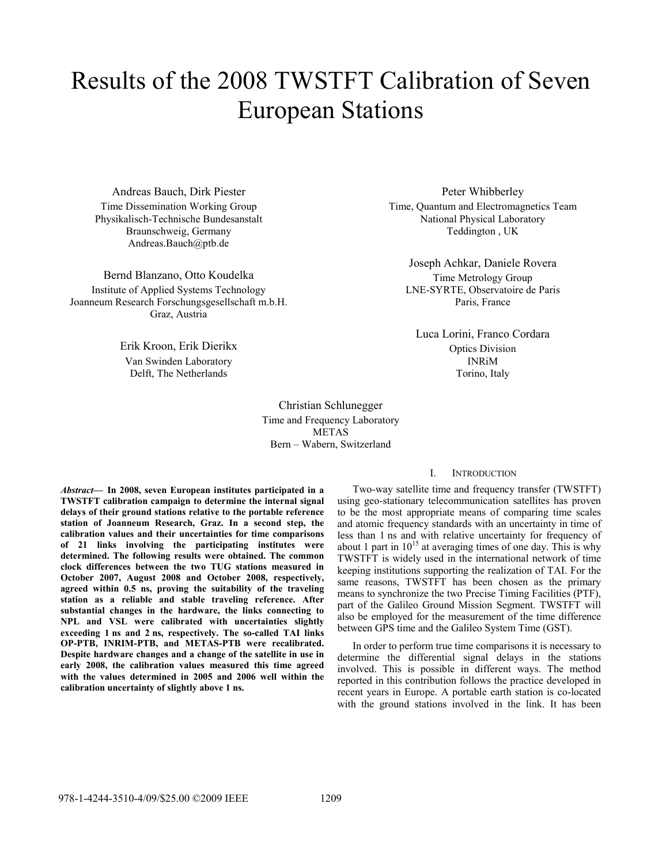# Results of the 2008 TWSTFT Calibration of Seven European Stations

Andreas Bauch, Dirk Piester Time Dissemination Working Group Physikalisch-Technische Bundesanstalt Braunschweig, Germany Andreas.Bauch@ptb.de

Bernd Blanzano, Otto Koudelka Institute of Applied Systems Technology Joanneum Research Forschungsgesellschaft m.b.H. Graz, Austria

> Erik Kroon, Erik Dierikx Van Swinden Laboratory Delft, The Netherlands

> > Christian Schlunegger Time and Frequency Laboratory METAS Bern – Wabern, Switzerland

*Abstract***— In 2008, seven European institutes participated in a TWSTFT calibration campaign to determine the internal signal delays of their ground stations relative to the portable reference station of Joanneum Research, Graz. In a second step, the calibration values and their uncertainties for time comparisons of 21 links involving the participating institutes were determined. The following results were obtained. The common clock differences between the two TUG stations measured in October 2007, August 2008 and October 2008, respectively, agreed within 0.5 ns, proving the suitability of the traveling station as a reliable and stable traveling reference. After substantial changes in the hardware, the links connecting to NPL and VSL were calibrated with uncertainties slightly exceeding 1 ns and 2 ns, respectively. The so-called TAI links OP-PTB, INRIM-PTB, and METAS-PTB were recalibrated. Despite hardware changes and a change of the satellite in use in early 2008, the calibration values measured this time agreed with the values determined in 2005 and 2006 well within the calibration uncertainty of slightly above 1 ns.** 

Peter Whibberley Time, Quantum and Electromagnetics Team National Physical Laboratory Teddington , UK

Joseph Achkar, Daniele Rovera Time Metrology Group LNE-SYRTE, Observatoire de Paris Paris, France

Luca Lorini, Franco Cordara Optics Division INRiM Torino, Italy

# I. INTRODUCTION

Two-way satellite time and frequency transfer (TWSTFT) using geo-stationary telecommunication satellites has proven to be the most appropriate means of comparing time scales and atomic frequency standards with an uncertainty in time of less than 1 ns and with relative uncertainty for frequency of about 1 part in  $10^{15}$  at averaging times of one day. This is why TWSTFT is widely used in the international network of time keeping institutions supporting the realization of TAI. For the same reasons, TWSTFT has been chosen as the primary means to synchronize the two Precise Timing Facilities (PTF), part of the Galileo Ground Mission Segment. TWSTFT will also be employed for the measurement of the time difference between GPS time and the Galileo System Time (GST).

In order to perform true time comparisons it is necessary to determine the differential signal delays in the stations involved. This is possible in different ways. The method reported in this contribution follows the practice developed in recent years in Europe. A portable earth station is co-located with the ground stations involved in the link. It has been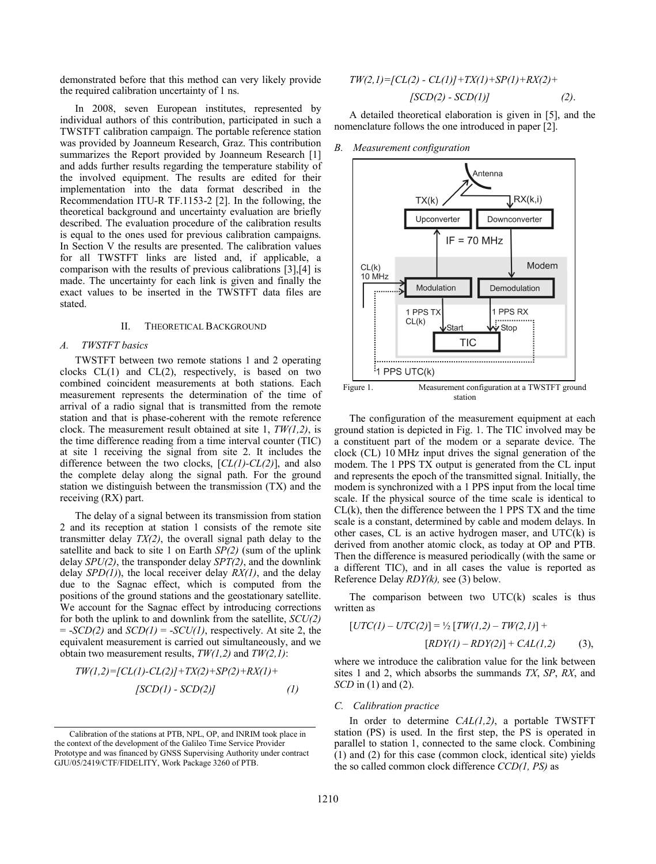demonstrated before that this method can very likely provide the required calibration uncertainty of 1 ns.

In 2008, seven European institutes, represented by individual authors of this contribution, participated in such a TWSTFT calibration campaign. The portable reference station was provided by Joanneum Research, Graz. This contribution summarizes the Report provided by Joanneum Research [1] and adds further results regarding the temperature stability of the involved equipment. The results are edited for their implementation into the data format described in the Recommendation ITU-R TF.1153-2 [2]. In the following, the theoretical background and uncertainty evaluation are briefly described. The evaluation procedure of the calibration results is equal to the ones used for previous calibration campaigns. In Section V the results are presented. The calibration values for all TWSTFT links are listed and, if applicable, a comparison with the results of previous calibrations [3],[4] is made. The uncertainty for each link is given and finally the exact values to be inserted in the TWSTFT data files are stated.

# II. THEORETICAL BACKGROUND

## *A. TWSTFT basics*

TWSTFT between two remote stations 1 and 2 operating clocks  $CL(1)$  and  $CL(2)$ , respectively, is based on two combined coincident measurements at both stations. Each measurement represents the determination of the time of arrival of a radio signal that is transmitted from the remote station and that is phase-coherent with the remote reference clock. The measurement result obtained at site 1, *TW(1,2)*, is the time difference reading from a time interval counter (TIC) at site 1 receiving the signal from site 2. It includes the difference between the two clocks, [*CL(1)-CL(2)*], and also the complete delay along the signal path. For the ground station we distinguish between the transmission (TX) and the receiving (RX) part.

The delay of a signal between its transmission from station 2 and its reception at station 1 consists of the remote site transmitter delay *TX(2)*, the overall signal path delay to the satellite and back to site 1 on Earth *SP(2)* (sum of the uplink delay *SPU(2)*, the transponder delay *SPT(2)*, and the downlink delay *SPD(1)*), the local receiver delay *RX(1)*, and the delay due to the Sagnac effect, which is computed from the positions of the ground stations and the geostationary satellite. We account for the Sagnac effect by introducing corrections for both the uplink to and downlink from the satellite, *SCU(2)*  $= -SCD(2)$  and  $SCD(1) = -SCU(1)$ , respectively. At site 2, the equivalent measurement is carried out simultaneously, and we obtain two measurement results, *TW(1,2)* and *TW(2,1)*:

$$
TW(1,2) = [CL(1)-CL(2)]+TX(2)+SP(2)+RX(1)+[SCD(1)-SCD(2)] \qquad (1)
$$

$$
TW(2,1) = [CL(2) - CL(1)] + TX(1) + SP(1) + RX(2) + [SCD(2) - SCD(1)] \tag{2}.
$$

A detailed theoretical elaboration is given in [5], and the nomenclature follows the one introduced in paper [2].

### *B. Measurement configuration*



The configuration of the measurement equipment at each ground station is depicted in Fig. 1. The TIC involved may be a constituent part of the modem or a separate device. The clock (CL) 10 MHz input drives the signal generation of the modem. The 1 PPS TX output is generated from the CL input and represents the epoch of the transmitted signal. Initially, the modem is synchronized with a 1 PPS input from the local time scale. If the physical source of the time scale is identical to  $CL(k)$ , then the difference between the 1 PPS TX and the time scale is a constant, determined by cable and modem delays. In other cases, CL is an active hydrogen maser, and UTC(k) is derived from another atomic clock, as today at OP and PTB. Then the difference is measured periodically (with the same or a different TIC), and in all cases the value is reported as Reference Delay *RDY(k),* see (3) below.

The comparison between two  $UTC(k)$  scales is thus written as

$$
[UTC(I) - UTC(2)] = \frac{1}{2} [TW(1,2) - TW(2,1)] +
$$
  

$$
[RDY(I) - RDY(2)] + CAL(1,2)
$$
 (3),

where we introduce the calibration value for the link between sites 1 and 2, which absorbs the summands *TX*, *SP*, *RX*, and *SCD* in (1) and (2).

# *C. Calibration practice*

In order to determine *CAL(1,2)*, a portable TWSTFT station (PS) is used. In the first step, the PS is operated in parallel to station 1, connected to the same clock. Combining (1) and (2) for this case (common clock, identical site) yields the so called common clock difference *CCD(1, PS)* as

Calibration of the stations at PTB, NPL, OP, and INRIM took place in the context of the development of the Galileo Time Service Provider Prototype and was financed by GNSS Supervising Authority under contract GJU/05/2419/CTF/FIDELITY, Work Package 3260 of PTB.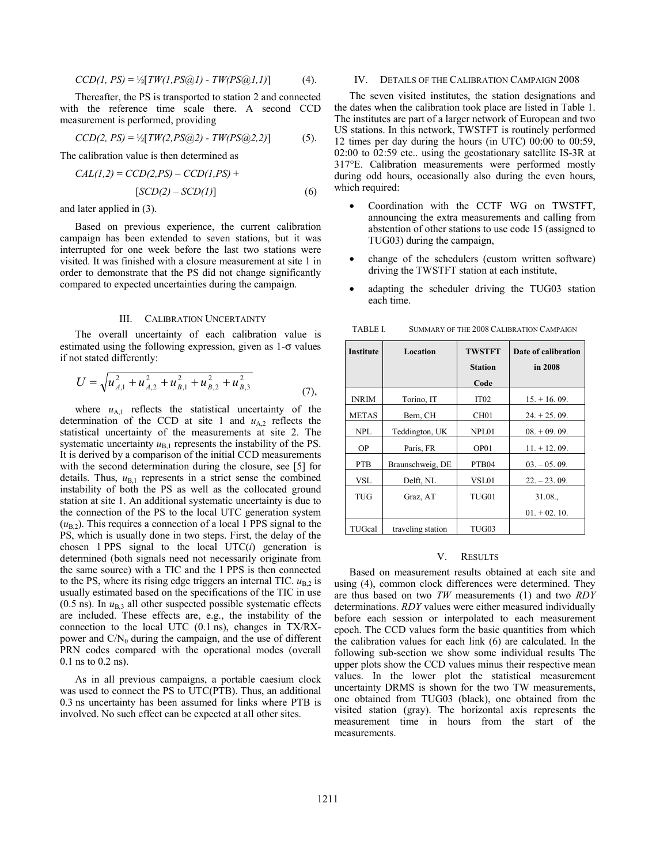$$
CCD(1, PS) = \frac{1}{2}[TW(1, PS@1) - TW(PS@1, 1)] \tag{4}
$$

Thereafter, the PS is transported to station 2 and connected with the reference time scale there. A second CCD measurement is performed, providing

$$
CCD(2, PS) = \frac{1}{2}[TW(2, PS@2) - TW(PS@2, 2)] \tag{5}.
$$

The calibration value is then determined as

$$
CAL(1,2) = CCD(2,PS) - CCD(1,PS) +
$$
  
[
$$
SCD(2) - SCD(1)]
$$
 (6)

and later applied in (3).

Based on previous experience, the current calibration campaign has been extended to seven stations, but it was interrupted for one week before the last two stations were visited. It was finished with a closure measurement at site 1 in order to demonstrate that the PS did not change significantly compared to expected uncertainties during the campaign.

# III. CALIBRATION UNCERTAINTY

The overall uncertainty of each calibration value is estimated using the following expression, given as  $1-\sigma$  values if not stated differently:

$$
U = \sqrt{u_{A,1}^2 + u_{A,2}^2 + u_{B,1}^2 + u_{B,2}^2 + u_{B,3}^2}
$$
 (7),

where  $u_{A,1}$  reflects the statistical uncertainty of the determination of the CCD at site 1 and  $u_{A,2}$  reflects the statistical uncertainty of the measurements at site 2. The systematic uncertainty  $u_{B,1}$  represents the instability of the PS. It is derived by a comparison of the initial CCD measurements with the second determination during the closure, see [5] for details. Thus,  $u_{B,1}$  represents in a strict sense the combined instability of both the PS as well as the collocated ground station at site 1. An additional systematic uncertainty is due to the connection of the PS to the local UTC generation system  $(u_{\rm B2})$ . This requires a connection of a local 1 PPS signal to the PS, which is usually done in two steps. First, the delay of the chosen 1 PPS signal to the local  $UTC(i)$  generation is determined (both signals need not necessarily originate from the same source) with a TIC and the 1 PPS is then connected to the PS, where its rising edge triggers an internal TIC.  $u_{B,2}$  is usually estimated based on the specifications of the TIC in use (0.5 ns). In  $u_{B,3}$  all other suspected possible systematic effects are included. These effects are, e.g., the instability of the connection to the local UTC (0.1 ns), changes in TX/RXpower and  $C/N_0$  during the campaign, and the use of different PRN codes compared with the operational modes (overall 0.1 ns to 0.2 ns).

As in all previous campaigns, a portable caesium clock was used to connect the PS to UTC(PTB). Thus, an additional 0.3 ns uncertainty has been assumed for links where PTB is involved. No such effect can be expected at all other sites.

# IV. DETAILS OF THE CALIBRATION CAMPAIGN 2008

The seven visited institutes, the station designations and the dates when the calibration took place are listed in Table 1. The institutes are part of a larger network of European and two US stations. In this network, TWSTFT is routinely performed 12 times per day during the hours (in UTC) 00:00 to 00:59, 02:00 to 02:59 etc.. using the geostationary satellite IS-3R at 317°E. Calibration measurements were performed mostly during odd hours, occasionally also during the even hours, which required:

- Coordination with the CCTF WG on TWSTFT, announcing the extra measurements and calling from abstention of other stations to use code 15 (assigned to TUG03) during the campaign,
- change of the schedulers (custom written software) driving the TWSTFT station at each institute,
- adapting the scheduler driving the TUG03 station each time.

| <b>Institute</b> | Location          | <b>TWSTFT</b>     | Date of calibration |  |  |
|------------------|-------------------|-------------------|---------------------|--|--|
|                  |                   | <b>Station</b>    | in 2008             |  |  |
|                  |                   | Code              |                     |  |  |
| <b>INRIM</b>     | Torino, IT        | IT <sub>02</sub>  | $15. + 16.09.$      |  |  |
| <b>METAS</b>     | Bern, CH          | CH <sub>01</sub>  | $24. + 25.09.$      |  |  |
| <b>NPL</b>       | Teddington, UK    | NPL01             | $08. + 09.09.$      |  |  |
| OР               | Paris, FR         | OP01              | $11. + 12.09.$      |  |  |
| <b>PTB</b>       | Braunschweig, DE  | PTB <sub>04</sub> | $03. -05.09.$       |  |  |
| <b>VSL</b>       | Delft, NL         | VSL01             | $22. - 23.09.$      |  |  |
| <b>TUG</b>       | Graz, AT          | TUG01             | 31.08.              |  |  |
|                  |                   |                   | $01 + 02$ , 10.     |  |  |
| TUGcal           | traveling station | TUG03             |                     |  |  |

TABLE I. SUMMARY OF THE 2008 CALIBRATION CAMPAIGN

#### V. RESULTS

Based on measurement results obtained at each site and using (4), common clock differences were determined. They are thus based on two *TW* measurements (1) and two *RDY* determinations. *RDY* values were either measured individually before each session or interpolated to each measurement epoch. The CCD values form the basic quantities from which the calibration values for each link (6) are calculated. In the following sub-section we show some individual results The upper plots show the CCD values minus their respective mean values. In the lower plot the statistical measurement uncertainty DRMS is shown for the two TW measurements, one obtained from TUG03 (black), one obtained from the visited station (gray). The horizontal axis represents the measurement time in hours from the start of the measurements.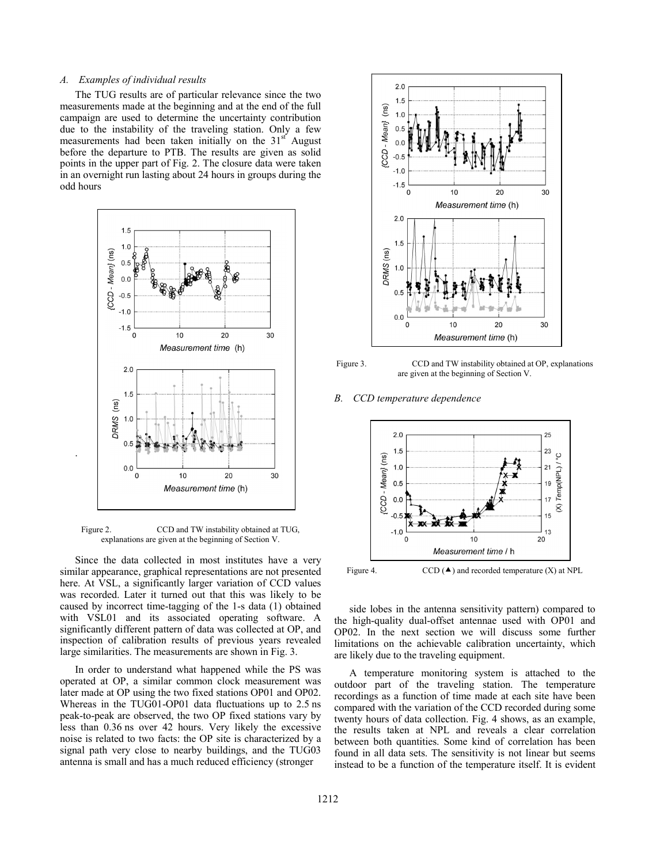# *A. Examples of individual results*

The TUG results are of particular relevance since the two measurements made at the beginning and at the end of the full campaign are used to determine the uncertainty contribution due to the instability of the traveling station. Only a few measurements had been taken initially on the  $31<sup>st</sup>$  August before the departure to PTB. The results are given as solid points in the upper part of Fig. 2. The closure data were taken in an overnight run lasting about 24 hours in groups during the odd hours



Figure 2. CCD and TW instability obtained at TUG, explanations are given at the beginning of Section V.

.

Since the data collected in most institutes have a very similar appearance, graphical representations are not presented here. At VSL, a significantly larger variation of CCD values was recorded. Later it turned out that this was likely to be caused by incorrect time-tagging of the 1-s data (1) obtained with VSL01 and its associated operating software. A significantly different pattern of data was collected at OP, and inspection of calibration results of previous years revealed large similarities. The measurements are shown in Fig. 3.

In order to understand what happened while the PS was operated at OP, a similar common clock measurement was later made at OP using the two fixed stations OP01 and OP02. Whereas in the TUG01-OP01 data fluctuations up to 2.5 ns peak-to-peak are observed, the two OP fixed stations vary by less than 0.36 ns over 42 hours. Very likely the excessive noise is related to two facts: the OP site is characterized by a signal path very close to nearby buildings, and the TUG03 antenna is small and has a much reduced efficiency (stronger





# *B. CCD temperature dependence*



side lobes in the antenna sensitivity pattern) compared to the high-quality dual-offset antennae used with OP01 and OP02. In the next section we will discuss some further limitations on the achievable calibration uncertainty, which are likely due to the traveling equipment.

A temperature monitoring system is attached to the outdoor part of the traveling station. The temperature recordings as a function of time made at each site have been compared with the variation of the CCD recorded during some twenty hours of data collection. Fig. 4 shows, as an example, the results taken at NPL and reveals a clear correlation between both quantities. Some kind of correlation has been found in all data sets. The sensitivity is not linear but seems instead to be a function of the temperature itself. It is evident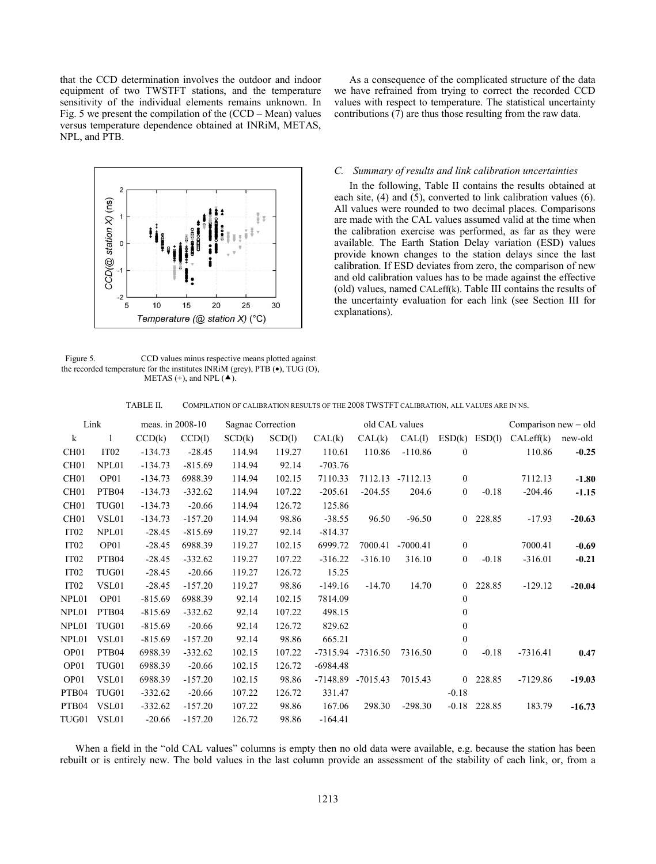that the CCD determination involves the outdoor and indoor equipment of two TWSTFT stations, and the temperature sensitivity of the individual elements remains unknown. In Fig. 5 we present the compilation of the (CCD – Mean) values versus temperature dependence obtained at INRiM, METAS, NPL, and PTB.



Figure 5. CCD values minus respective means plotted against the recorded temperature for the institutes INRiM (grey), PTB (•), TUG (O), METAS (+), and NPL  $($   $\blacktriangle$ ).

As a consequence of the complicated structure of the data we have refrained from trying to correct the recorded CCD values with respect to temperature. The statistical uncertainty contributions (7) are thus those resulting from the raw data.

# *C. Summary of results and link calibration uncertainties*

In the following, Table II contains the results obtained at each site, (4) and (5), converted to link calibration values (6). All values were rounded to two decimal places. Comparisons are made with the CAL values assumed valid at the time when the calibration exercise was performed, as far as they were available. The Earth Station Delay variation (ESD) values provide known changes to the station delays since the last calibration. If ESD deviates from zero, the comparison of new and old calibration values has to be made against the effective (old) values, named CALeff(k). Table III contains the results of the uncertainty evaluation for each link (see Section III for explanations).

| COMPILATION OF CALIBRATION RESULTS OF THE 2008 TWSTFT CALIBRATION, ALL VALUES ARE IN NS.<br>TABLE II. |  |
|-------------------------------------------------------------------------------------------------------|--|
|-------------------------------------------------------------------------------------------------------|--|

| Link              |                   | meas. in 2008-10 |           | Sagnac Correction |        | old CAL values |                       |            |                   | Comparison new - old |            |          |
|-------------------|-------------------|------------------|-----------|-------------------|--------|----------------|-----------------------|------------|-------------------|----------------------|------------|----------|
| $\bf k$           | $\mathbf{1}$      | CCD(k)           | CCD(1)    | SCD(k)            | SCD(1) | CAL(k)         | CAL(k)                | CAL(I)     | $ESD(k)$ $ESD(l)$ |                      | CALeft(k)  | new-old  |
| CH <sub>01</sub>  | IT <sub>02</sub>  | $-134.73$        | $-28.45$  | 114.94            | 119.27 | 110.61         | 110.86                | $-110.86$  | $\overline{0}$    |                      | 110.86     | $-0.25$  |
| CH <sub>01</sub>  | NPL01             | $-134.73$        | $-815.69$ | 114.94            | 92.14  | $-703.76$      |                       |            |                   |                      |            |          |
| CH <sub>01</sub>  | OP01              | $-134.73$        | 6988.39   | 114.94            | 102.15 | 7110.33        | 7112.13               | $-7112.13$ | $\mathbf{0}$      |                      | 7112.13    | $-1.80$  |
| CH <sub>01</sub>  | PTB <sub>04</sub> | $-134.73$        | $-332.62$ | 114.94            | 107.22 | $-205.61$      | $-204.55$             | 204.6      | $\mathbf{0}$      | $-0.18$              | $-204.46$  | $-1.15$  |
| CH <sub>01</sub>  | TUG01             | $-134.73$        | $-20.66$  | 114.94            | 126.72 | 125.86         |                       |            |                   |                      |            |          |
| CH <sub>01</sub>  | VSL01             | $-134.73$        | $-157.20$ | 114.94            | 98.86  | $-38.55$       | 96.50                 | $-96.50$   | $\overline{0}$    | 228.85               | $-17.93$   | $-20.63$ |
| IT <sub>02</sub>  | NPL01             | $-28.45$         | $-815.69$ | 119.27            | 92.14  | $-814.37$      |                       |            |                   |                      |            |          |
| IT <sub>02</sub>  | OP01              | $-28.45$         | 6988.39   | 119.27            | 102.15 | 6999.72        | 7000.41               | $-7000.41$ | $\mathbf{0}$      |                      | 7000.41    | $-0.69$  |
| IT <sub>02</sub>  | PTB <sub>04</sub> | $-28.45$         | $-332.62$ | 119.27            | 107.22 | $-316.22$      | $-316.10$             | 316.10     | $\overline{0}$    | $-0.18$              | $-316.01$  | $-0.21$  |
| IT <sub>02</sub>  | TUG01             | $-28.45$         | $-20.66$  | 119.27            | 126.72 | 15.25          |                       |            |                   |                      |            |          |
| IT <sub>02</sub>  | VSL01             | $-28.45$         | $-157.20$ | 119.27            | 98.86  | $-149.16$      | $-14.70$              | 14.70      | $\overline{0}$    | 228.85               | $-129.12$  | $-20.04$ |
| NPL01             | OP01              | $-815.69$        | 6988.39   | 92.14             | 102.15 | 7814.09        |                       |            | $\mathbf{0}$      |                      |            |          |
| NPL01             | PTB04             | $-815.69$        | $-332.62$ | 92.14             | 107.22 | 498.15         |                       |            | $\mathbf{0}$      |                      |            |          |
| NPL01             | TUG01             | $-815.69$        | $-20.66$  | 92.14             | 126.72 | 829.62         |                       |            | $\mathbf{0}$      |                      |            |          |
| NPL01             | VSL01             | $-815.69$        | $-157.20$ | 92.14             | 98.86  | 665.21         |                       |            | $\mathbf{0}$      |                      |            |          |
| OP <sub>01</sub>  | PTB04             | 6988.39          | $-332.62$ | 102.15            | 107.22 |                | -7315.94 -7316.50     | 7316.50    | $\mathbf{0}$      | $-0.18$              | $-7316.41$ | 0.47     |
| OP01              | TUG01             | 6988.39          | $-20.66$  | 102.15            | 126.72 | $-6984.48$     |                       |            |                   |                      |            |          |
| OP01              | VSL01             | 6988.39          | $-157.20$ | 102.15            | 98.86  |                | $-7148.89$ $-7015.43$ | 7015.43    |                   | 0 228.85             | $-7129.86$ | $-19.03$ |
| PTB <sub>04</sub> | TUG01             | $-332.62$        | $-20.66$  | 107.22            | 126.72 | 331.47         |                       |            | $-0.18$           |                      |            |          |
| PTB04             | VSL01             | $-332.62$        | $-157.20$ | 107.22            | 98.86  | 167.06         | 298.30                | $-298.30$  | $-0.18$           | 228.85               | 183.79     | $-16.73$ |
| TUG01             | VSL01             | $-20.66$         | $-157.20$ | 126.72            | 98.86  | $-164.41$      |                       |            |                   |                      |            |          |

When a field in the "old CAL values" columns is empty then no old data were available, e.g. because the station has been rebuilt or is entirely new. The bold values in the last column provide an assessment of the stability of each link, or, from a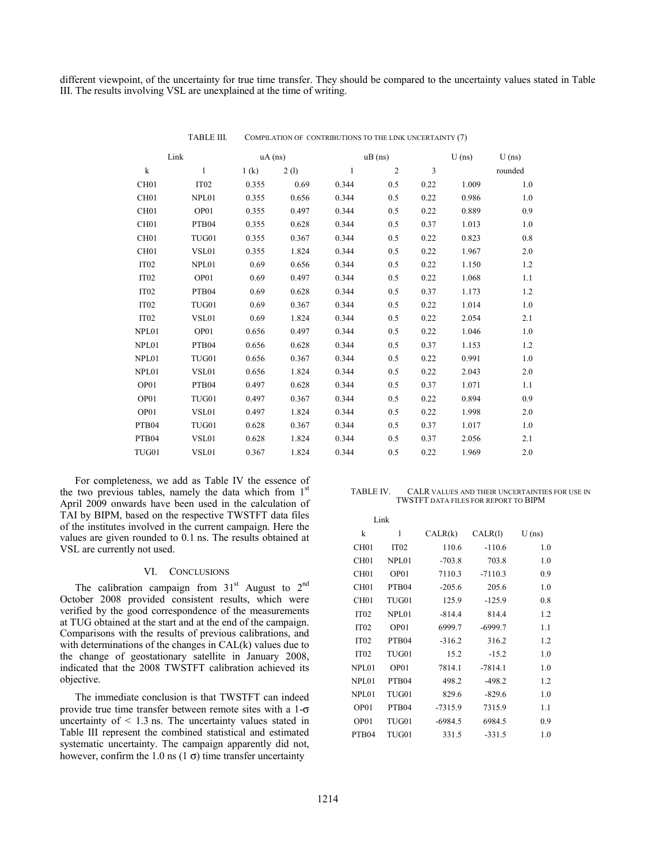different viewpoint, of the uncertainty for true time transfer. They should be compared to the uncertainty values stated in Table III. The results involving VSL are unexplained at the time of writing.

|                  | Link             | $uA$ (ns) |       |       | $uB$ (ns)      |      | $U$ (ns) | $U$ (ns) |
|------------------|------------------|-----------|-------|-------|----------------|------|----------|----------|
| k                | 1                | 1(k)      | 2(1)  | 1     | $\overline{2}$ | 3    |          | rounded  |
| CH <sub>01</sub> | IT <sub>02</sub> | 0.355     | 0.69  | 0.344 | 0.5            | 0.22 | 1.009    | 1.0      |
| CH <sub>01</sub> | NPL01            | 0.355     | 0.656 | 0.344 | 0.5            | 0.22 | 0.986    | 1.0      |
| CH <sub>01</sub> | OP01             | 0.355     | 0.497 | 0.344 | 0.5            | 0.22 | 0.889    | 0.9      |
| CH <sub>01</sub> | PTB04            | 0.355     | 0.628 | 0.344 | 0.5            | 0.37 | 1.013    | 1.0      |
| CH <sub>01</sub> | TUG01            | 0.355     | 0.367 | 0.344 | 0.5            | 0.22 | 0.823    | 0.8      |
| CH <sub>01</sub> | VSL01            | 0.355     | 1.824 | 0.344 | 0.5            | 0.22 | 1.967    | 2.0      |
| IT <sub>02</sub> | NPL01            | 0.69      | 0.656 | 0.344 | 0.5            | 0.22 | 1.150    | 1.2      |
| IT <sub>02</sub> | OP01             | 0.69      | 0.497 | 0.344 | 0.5            | 0.22 | 1.068    | 1.1      |
| IT <sub>02</sub> | PTB04            | 0.69      | 0.628 | 0.344 | 0.5            | 0.37 | 1.173    | 1.2      |
| IT <sub>02</sub> | TUG01            | 0.69      | 0.367 | 0.344 | 0.5            | 0.22 | 1.014    | 1.0      |
| IT <sub>02</sub> | VSL01            | 0.69      | 1.824 | 0.344 | 0.5            | 0.22 | 2.054    | 2.1      |
| NPL01            | OP01             | 0.656     | 0.497 | 0.344 | 0.5            | 0.22 | 1.046    | 1.0      |
| NPL01            | PTB04            | 0.656     | 0.628 | 0.344 | 0.5            | 0.37 | 1.153    | 1.2      |
| NPL01            | TUG01            | 0.656     | 0.367 | 0.344 | 0.5            | 0.22 | 0.991    | 1.0      |
| NPL01            | VSL01            | 0.656     | 1.824 | 0.344 | 0.5            | 0.22 | 2.043    | 2.0      |
| OP01             | PTB04            | 0.497     | 0.628 | 0.344 | 0.5            | 0.37 | 1.071    | 1.1      |
| OP01             | TUG01            | 0.497     | 0.367 | 0.344 | 0.5            | 0.22 | 0.894    | 0.9      |
| OP01             | VSL01            | 0.497     | 1.824 | 0.344 | 0.5            | 0.22 | 1.998    | 2.0      |
| PTB04            | TUG01            | 0.628     | 0.367 | 0.344 | 0.5            | 0.37 | 1.017    | 1.0      |
| PTB04            | VSL01            | 0.628     | 1.824 | 0.344 | 0.5            | 0.37 | 2.056    | 2.1      |
| TUG01            | VSL01            | 0.367     | 1.824 | 0.344 | 0.5            | 0.22 | 1.969    | 2.0      |

TABLE III. COMPILATION OF CONTRIBUTIONS TO THE LINK UNCERTAINTY (7)

For completeness, we add as Table IV the essence of the two previous tables, namely the data which from  $1<sup>st</sup>$ April 2009 onwards have been used in the calculation of TAI by BIPM, based on the respective TWSTFT data files of the institutes involved in the current campaign. Here the values are given rounded to 0.1 ns. The results obtained at VSL are currently not used.

## VI. CONCLUSIONS

The calibration campaign from  $31<sup>st</sup>$  August to  $2<sup>nd</sup>$ October 2008 provided consistent results, which were verified by the good correspondence of the measurements at TUG obtained at the start and at the end of the campaign. Comparisons with the results of previous calibrations, and with determinations of the changes in CAL(k) values due to the change of geostationary satellite in January 2008, indicated that the 2008 TWSTFT calibration achieved its objective.

The immediate conclusion is that TWSTFT can indeed provide true time transfer between remote sites with a 1-σ uncertainty of  $\leq 1.3$  ns. The uncertainty values stated in Table III represent the combined statistical and estimated systematic uncertainty. The campaign apparently did not, however, confirm the 1.0 ns (1  $\sigma$ ) time transfer uncertainty

## TABLE IV. CALR VALUES AND THEIR UNCERTAINTIES FOR USE IN TWSTFT DATA FILES FOR REPORT TO BIPM

|                  | Link              |           |           |          |
|------------------|-------------------|-----------|-----------|----------|
| k                | 1                 | CALR(k)   | CALR(1)   | $U$ (ns) |
| CH <sub>01</sub> | IT <sub>02</sub>  | 110.6     | $-110.6$  | 1.0      |
| CH <sub>01</sub> | NPL01             | $-703.8$  | 703.8     | 1.0      |
| CH <sub>01</sub> | OP01              | 7110.3    | $-7110.3$ | 0.9      |
| CH <sub>01</sub> | PTB04             | $-205.6$  | 205.6     | 1.0      |
| CH <sub>01</sub> | TUG01             | 125.9     | $-125.9$  | 0.8      |
| IT <sub>02</sub> | NPL01             | $-814.4$  | 814.4     | 1.2      |
| IT <sub>02</sub> | OP01              | 6999.7    | $-6999.7$ | 1.1      |
| IT <sub>02</sub> | PTB04             | $-316.2$  | 316.2     | 1.2      |
| IT <sub>02</sub> | TUG01             | 15.2      | $-15.2$   | 1.0      |
| NPL01            | OP01              | 7814.1    | $-7814.1$ | 1.0      |
| NPL01            | PTB <sub>04</sub> | 498.2     | $-498.2$  | 1.2      |
| NPL01            | TUG01             | 829.6     | $-829.6$  | 1.0      |
| OP01             | PTB <sub>04</sub> | $-7315.9$ | 7315.9    | 1.1      |
| OP01             | TUG01             | $-6984.5$ | 6984.5    | 0.9      |
| PTB04            | TUG01             | 331.5     | $-331.5$  | 1.0      |